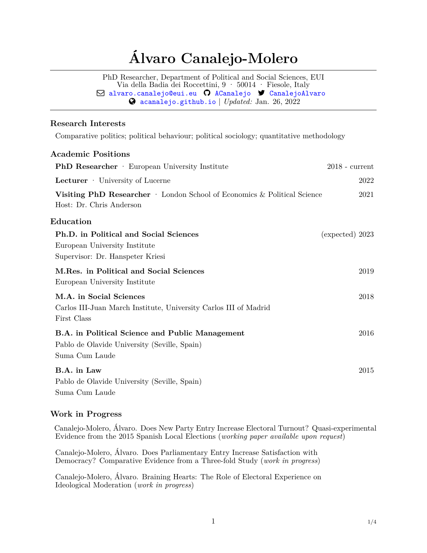# **Álvaro Canalejo-Molero**

PhD Researcher, Department of Political and Social Sciences, EUI Via della Badia dei Roccettini, 9 · 50014 · Fiesole, Italy  $\boxdot$  [alvaro.canalejo@eui.eu](mailto:)  $\odot$  [ACanalejo](http://github.com/ACanalejo)  $\blacktriangledown$  [CanalejoAlvaro](https:/twitter.com/CanalejoAlvaro) [acanalejo.github.io](http://acanalejo.github.io) | *Updated:* Jan. 26, 2022

### **Research Interests**

Comparative politics; political behaviour; political sociology; quantitative methodology

## **Academic Positions**

| <b>PhD Researcher</b> · European University Institute                                                             | $2018$ - current  |
|-------------------------------------------------------------------------------------------------------------------|-------------------|
| Lecturer · University of Lucerne                                                                                  | 2022              |
| Visiting PhD Researcher · London School of Economics & Political Science<br>Host: Dr. Chris Anderson              | 2021              |
| ${\rm Education}$                                                                                                 |                   |
| Ph.D. in Political and Social Sciences<br>European University Institute<br>Supervisor: Dr. Hanspeter Kriesi       | $(expected)$ 2023 |
| M.Res. in Political and Social Sciences<br>European University Institute                                          | 2019              |
| M.A. in Social Sciences<br>Carlos III-Juan March Institute, University Carlos III of Madrid<br>First Class        | 2018              |
| B.A. in Political Science and Public Management<br>Pablo de Olavide University (Seville, Spain)<br>Suma Cum Laude | 2016              |
| B.A. in Law<br>Pablo de Olavide University (Seville, Spain)<br>Suma Cum Laude                                     | 2015              |

### **Work in Progress**

Canalejo-Molero, Álvaro. Does New Party Entry Increase Electoral Turnout? Quasi-experimental Evidence from the 2015 Spanish Local Elections (*working paper available upon request*)

Canalejo-Molero, Álvaro. Does Parliamentary Entry Increase Satisfaction with Democracy? Comparative Evidence from a Three-fold Study (*work in progress*)

Canalejo-Molero, Álvaro. Braining Hearts: The Role of Electoral Experience on Ideological Moderation (*work in progress*)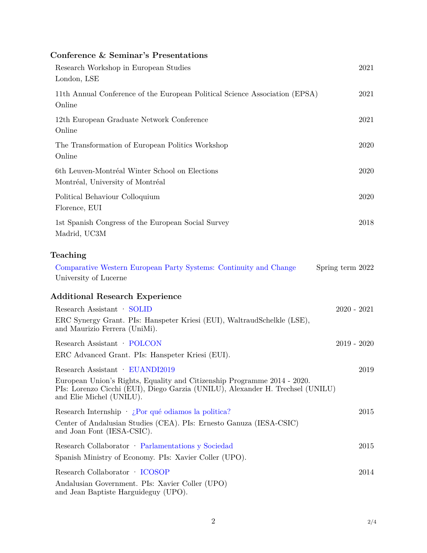# **Conference & Seminar's Presentations**

| Research Workshop in European Studies<br>London, LSE                                                                                                                                                                      |                  | 2021 |
|---------------------------------------------------------------------------------------------------------------------------------------------------------------------------------------------------------------------------|------------------|------|
| 11th Annual Conference of the European Political Science Association (EPSA)<br>Online                                                                                                                                     |                  | 2021 |
| 12th European Graduate Network Conference<br>Online                                                                                                                                                                       |                  | 2021 |
| The Transformation of European Politics Workshop<br>Online                                                                                                                                                                |                  | 2020 |
| 6th Leuven-Montréal Winter School on Elections<br>Montréal, University of Montréal                                                                                                                                        |                  | 2020 |
| Political Behaviour Colloquium<br>Florence, EUI                                                                                                                                                                           |                  | 2020 |
| 1st Spanish Congress of the European Social Survey<br>Madrid, UC3M                                                                                                                                                        |                  | 2018 |
| Teaching                                                                                                                                                                                                                  |                  |      |
| Comparative Western European Party Systems: Continuity and Change<br>University of Lucerne                                                                                                                                | Spring term 2022 |      |
| <b>Additional Research Experience</b>                                                                                                                                                                                     |                  |      |
| Research Assistant · SOLID                                                                                                                                                                                                | $2020 - 2021$    |      |
| ERC Synergy Grant. PIs: Hanspeter Kriesi (EUI), WaltraudSchelkle (LSE),<br>and Maurizio Ferrera (UniMi).                                                                                                                  |                  |      |
| Research Assistant · POLCON                                                                                                                                                                                               | $2019 - 2020$    |      |
| ERC Advanced Grant. PIs: Hanspeter Kriesi (EUI).                                                                                                                                                                          |                  |      |
| Research Assistant · EUANDI2019<br>European Union's Rights, Equality and Citizenship Programme 2014 - 2020.<br>PIs: Lorenzo Cicchi (EUI), Diego Garzia (UNILU), Alexander H. Trechsel (UNILU)<br>and Elie Michel (UNILU). |                  | 2019 |
| Research Internship $\cdot$ <i>i</i> . Por qué odiamos la politica?<br>Center of Andalusian Studies (CEA). PIs: Ernesto Ganuza (IESA-CSIC)<br>and Joan Font (IESA-CSIC).                                                  |                  | 2015 |
| Research Collaborator · Parlamentations y Sociedad<br>Spanish Ministry of Economy. PIs: Xavier Coller (UPO).                                                                                                              |                  | 2015 |
| Research Collaborator · ICOSOP<br>Andalusian Government. PIs: Xavier Coller (UPO)<br>and Jean Baptiste Harguideguy (UPO).                                                                                                 |                  | 2014 |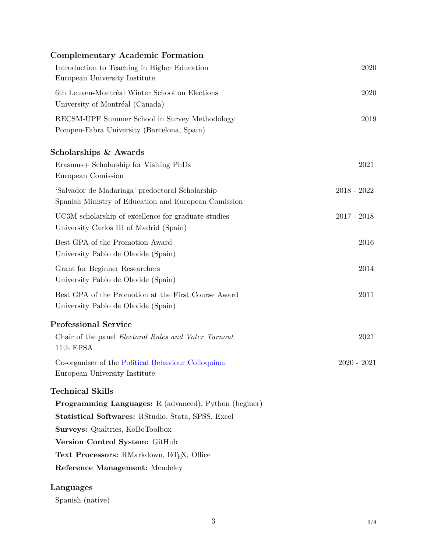| <b>Complementary Academic Formation</b>                                                                 |               |
|---------------------------------------------------------------------------------------------------------|---------------|
| Introduction to Teaching in Higher Education<br>European University Institute                           | 2020          |
| 6th Leuven-Montréal Winter School on Elections<br>University of Montréal (Canada)                       | 2020          |
| RECSM-UPF Summer School in Survey Methodology<br>Pompeu-Fabra University (Barcelona, Spain)             | 2019          |
| Scholarships & Awards                                                                                   |               |
| Erasmus + Scholarship for Visiting PhDs<br>European Comission                                           | 2021          |
| 'Salvador de Madariaga' predoctoral Scholarship<br>Spanish Ministry of Education and European Comission | $2018 - 2022$ |
| UC3M scholarship of excellence for graduate studies<br>University Carlos III of Madrid (Spain)          | $2017 - 2018$ |
| Best GPA of the Promotion Award<br>University Pablo de Olavide (Spain)                                  | 2016          |
| Grant for Beginner Researchers<br>University Pablo de Olavide (Spain)                                   | 2014          |
| Best GPA of the Promotion at the First Course Award<br>University Pablo de Olavide (Spain)              | 2011          |
| <b>Professional Service</b>                                                                             |               |
| Chair of the panel <i>Electoral Rules and Voter Turnout</i><br>11th EPSA                                | 2021          |
| Co-organiser of the Political Behaviour Colloquium<br>European University Institute                     | $2020 - 2021$ |
| <b>Technical Skills</b>                                                                                 |               |
| Programming Languages: R (advanced), Python (beginer)                                                   |               |
| <b>Statistical Softwares: RStudio, Stata, SPSS, Excel</b>                                               |               |
| <b>Surveys: Qualtrics, KoBoToolbox</b>                                                                  |               |
| Version Control System: GitHub                                                                          |               |
| Text Processors: RMarkdown, LATFX, Office                                                               |               |
| Reference Management: Mendeley                                                                          |               |
| Languages                                                                                               |               |

Spanish (native)